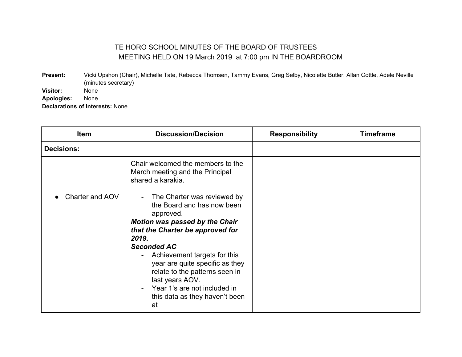## TE HORO SCHOOL MINUTES OF THE BOARD OF TRUSTEES MEETING HELD ON 19 March 2019 at 7:00 pm IN THE BOARDROOM

**Present:** Vicki Upshon (Chair), Michelle Tate, Rebecca Thomsen, Tammy Evans, Greg Selby, Nicolette Butler, Allan Cottle, Adele Neville (minutes secretary) **Visitor:** None **Apologies:** None

**Declarations of Interests:** None

| <b>Item</b>       | <b>Discussion/Decision</b>                                                                                                                                                                                         | <b>Responsibility</b> | <b>Timeframe</b> |
|-------------------|--------------------------------------------------------------------------------------------------------------------------------------------------------------------------------------------------------------------|-----------------------|------------------|
| <b>Decisions:</b> |                                                                                                                                                                                                                    |                       |                  |
|                   | Chair welcomed the members to the<br>March meeting and the Principal<br>shared a karakia.                                                                                                                          |                       |                  |
| Charter and AOV   | The Charter was reviewed by<br>the Board and has now been<br>approved.<br><b>Motion was passed by the Chair</b><br>that the Charter be approved for<br>2019.                                                       |                       |                  |
|                   | <b>Seconded AC</b><br>Achievement targets for this<br>year are quite specific as they<br>relate to the patterns seen in<br>last years AOV.<br>Year 1's are not included in<br>this data as they haven't been<br>at |                       |                  |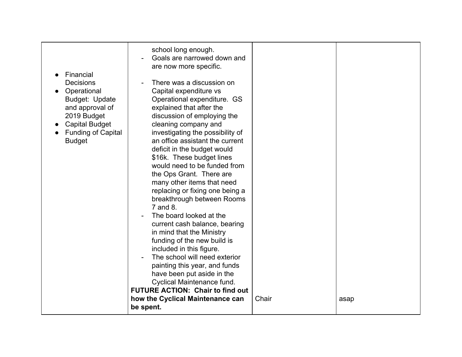|                           | school long enough.                     |       |      |
|---------------------------|-----------------------------------------|-------|------|
|                           | Goals are narrowed down and             |       |      |
|                           | are now more specific.                  |       |      |
| Financial                 |                                         |       |      |
| <b>Decisions</b>          | There was a discussion on               |       |      |
| Operational               | Capital expenditure vs                  |       |      |
| Budget: Update            | Operational expenditure. GS             |       |      |
| and approval of           | explained that after the                |       |      |
| 2019 Budget               | discussion of employing the             |       |      |
| <b>Capital Budget</b>     | cleaning company and                    |       |      |
| <b>Funding of Capital</b> | investigating the possibility of        |       |      |
| <b>Budget</b>             | an office assistant the current         |       |      |
|                           | deficit in the budget would             |       |      |
|                           | \$16k. These budget lines               |       |      |
|                           | would need to be funded from            |       |      |
|                           | the Ops Grant. There are                |       |      |
|                           | many other items that need              |       |      |
|                           | replacing or fixing one being a         |       |      |
|                           | breakthrough between Rooms              |       |      |
|                           | 7 and 8.                                |       |      |
|                           | The board looked at the                 |       |      |
|                           | current cash balance, bearing           |       |      |
|                           | in mind that the Ministry               |       |      |
|                           | funding of the new build is             |       |      |
|                           | included in this figure.                |       |      |
|                           | The school will need exterior           |       |      |
|                           | painting this year, and funds           |       |      |
|                           | have been put aside in the              |       |      |
|                           | Cyclical Maintenance fund.              |       |      |
|                           | <b>FUTURE ACTION: Chair to find out</b> |       |      |
|                           | how the Cyclical Maintenance can        | Chair | asap |
|                           | be spent.                               |       |      |
|                           |                                         |       |      |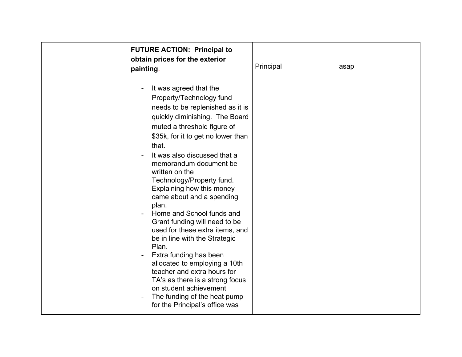| <b>FUTURE ACTION: Principal to</b><br>obtain prices for the exterior<br>painting.                                                                                                                                                                                                                                                                                                                                                                                                                                                                                                                                                                                                                                                                      | Principal | asap |
|--------------------------------------------------------------------------------------------------------------------------------------------------------------------------------------------------------------------------------------------------------------------------------------------------------------------------------------------------------------------------------------------------------------------------------------------------------------------------------------------------------------------------------------------------------------------------------------------------------------------------------------------------------------------------------------------------------------------------------------------------------|-----------|------|
| It was agreed that the<br>Property/Technology fund<br>needs to be replenished as it is<br>quickly diminishing. The Board<br>muted a threshold figure of<br>\$35k, for it to get no lower than<br>that.<br>It was also discussed that a<br>memorandum document be<br>written on the<br>Technology/Property fund.<br>Explaining how this money<br>came about and a spending<br>plan.<br>Home and School funds and<br>Grant funding will need to be<br>used for these extra items, and<br>be in line with the Strategic<br>Plan.<br>Extra funding has been<br>allocated to employing a 10th<br>teacher and extra hours for<br>TA's as there is a strong focus<br>on student achievement<br>The funding of the heat pump<br>for the Principal's office was |           |      |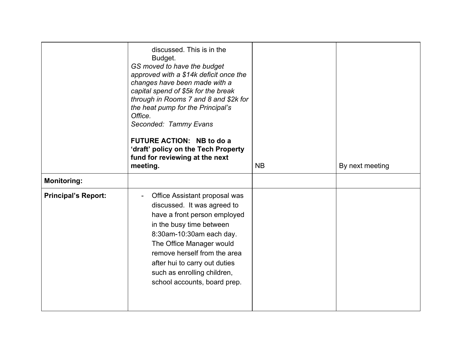|                            | discussed. This is in the<br>Budget.<br>GS moved to have the budget<br>approved with a \$14k deficit once the<br>changes have been made with a<br>capital spend of \$5k for the break<br>through in Rooms 7 and 8 and \$2k for<br>the heat pump for the Principal's<br>Office.<br>Seconded: Tammy Evans<br>FUTURE ACTION: NB to do a<br>'draft' policy on the Tech Property<br>fund for reviewing at the next<br>meeting. | <b>NB</b> | By next meeting |
|----------------------------|---------------------------------------------------------------------------------------------------------------------------------------------------------------------------------------------------------------------------------------------------------------------------------------------------------------------------------------------------------------------------------------------------------------------------|-----------|-----------------|
| <b>Monitoring:</b>         |                                                                                                                                                                                                                                                                                                                                                                                                                           |           |                 |
| <b>Principal's Report:</b> | Office Assistant proposal was<br>discussed. It was agreed to<br>have a front person employed<br>in the busy time between<br>8:30am-10:30am each day.<br>The Office Manager would<br>remove herself from the area<br>after hui to carry out duties<br>such as enrolling children,<br>school accounts, board prep.                                                                                                          |           |                 |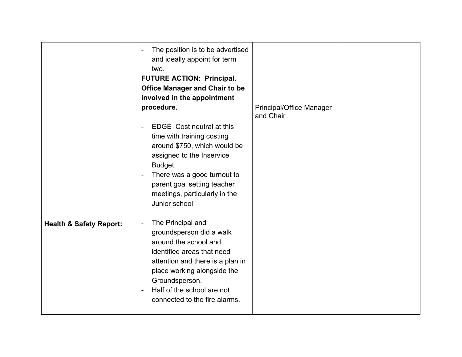|                                    | The position is to be advertised<br>and ideally appoint for term<br>two.<br><b>FUTURE ACTION: Principal,</b><br><b>Office Manager and Chair to be</b><br>involved in the appointment<br>procedure.                                                       | Principal/Office Manager<br>and Chair |  |
|------------------------------------|----------------------------------------------------------------------------------------------------------------------------------------------------------------------------------------------------------------------------------------------------------|---------------------------------------|--|
|                                    | <b>EDGE</b> Cost neutral at this<br>time with training costing<br>around \$750, which would be<br>assigned to the Inservice<br>Budget.<br>There was a good turnout to<br>parent goal setting teacher<br>meetings, particularly in the<br>Junior school   |                                       |  |
| <b>Health &amp; Safety Report:</b> | The Principal and<br>groundsperson did a walk<br>around the school and<br>identified areas that need<br>attention and there is a plan in<br>place working alongside the<br>Groundsperson.<br>Half of the school are not<br>connected to the fire alarms. |                                       |  |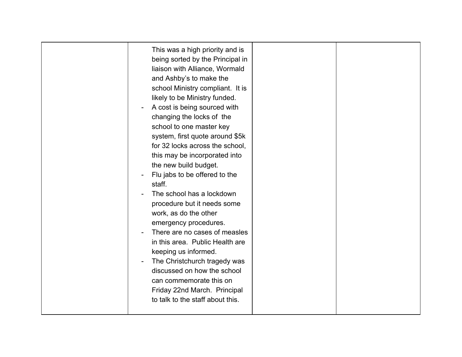| This was a high priority and is<br>being sorted by the Principal in<br>liaison with Alliance, Wormald<br>and Ashby's to make the<br>school Ministry compliant. It is<br>likely to be Ministry funded.<br>A cost is being sourced with<br>changing the locks of the<br>school to one master key<br>system, first quote around \$5k<br>for 32 locks across the school,<br>this may be incorporated into<br>the new build budget.<br>Flu jabs to be offered to the<br>staff.<br>The school has a lockdown<br>procedure but it needs some<br>work, as do the other<br>emergency procedures.<br>There are no cases of measles<br>in this area. Public Health are<br>keeping us informed.<br>The Christchurch tragedy was<br>discussed on how the school |
|----------------------------------------------------------------------------------------------------------------------------------------------------------------------------------------------------------------------------------------------------------------------------------------------------------------------------------------------------------------------------------------------------------------------------------------------------------------------------------------------------------------------------------------------------------------------------------------------------------------------------------------------------------------------------------------------------------------------------------------------------|
| can commemorate this on<br>Friday 22nd March. Principal<br>to talk to the staff about this.                                                                                                                                                                                                                                                                                                                                                                                                                                                                                                                                                                                                                                                        |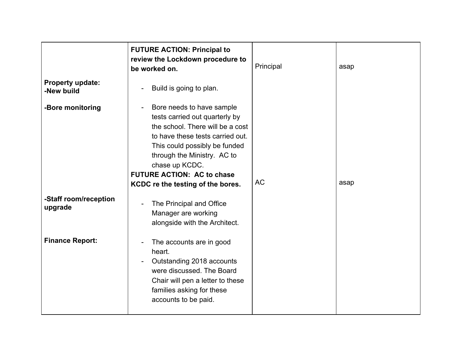|                                  | <b>FUTURE ACTION: Principal to</b><br>review the Lockdown procedure to<br>be worked on.                                                                                                                                                                                                         | Principal | asap |
|----------------------------------|-------------------------------------------------------------------------------------------------------------------------------------------------------------------------------------------------------------------------------------------------------------------------------------------------|-----------|------|
| Property update:<br>-New build   | Build is going to plan.                                                                                                                                                                                                                                                                         |           |      |
| -Bore monitoring                 | Bore needs to have sample<br>tests carried out quarterly by<br>the school. There will be a cost<br>to have these tests carried out.<br>This could possibly be funded<br>through the Ministry. AC to<br>chase up KCDC.<br><b>FUTURE ACTION: AC to chase</b><br>KCDC re the testing of the bores. | <b>AC</b> | asap |
| -Staff room/reception<br>upgrade | The Principal and Office<br>Manager are working<br>alongside with the Architect.                                                                                                                                                                                                                |           |      |
| <b>Finance Report:</b>           | The accounts are in good<br>heart.<br>Outstanding 2018 accounts<br>were discussed. The Board<br>Chair will pen a letter to these<br>families asking for these<br>accounts to be paid.                                                                                                           |           |      |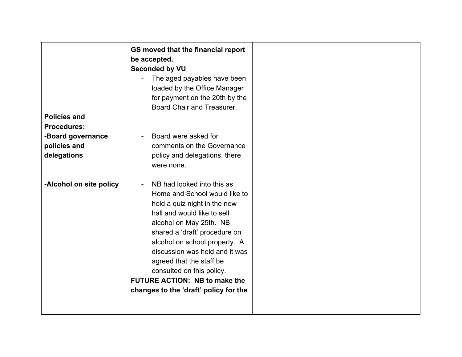|                         | GS moved that the financial report    |  |
|-------------------------|---------------------------------------|--|
|                         | be accepted.                          |  |
|                         | <b>Seconded by VU</b>                 |  |
|                         | The aged payables have been           |  |
|                         | loaded by the Office Manager          |  |
|                         | for payment on the 20th by the        |  |
|                         | Board Chair and Treasurer.            |  |
| <b>Policies and</b>     |                                       |  |
| <b>Procedures:</b>      |                                       |  |
| -Board governance       | Board were asked for                  |  |
| policies and            | comments on the Governance            |  |
| delegations             | policy and delegations, there         |  |
|                         | were none.                            |  |
|                         |                                       |  |
| -Alcohol on site policy | NB had looked into this as            |  |
|                         | Home and School would like to         |  |
|                         | hold a quiz night in the new          |  |
|                         | hall and would like to sell           |  |
|                         | alcohol on May 25th. NB               |  |
|                         | shared a 'draft' procedure on         |  |
|                         | alcohol on school property. A         |  |
|                         | discussion was held and it was        |  |
|                         | agreed that the staff be              |  |
|                         | consulted on this policy.             |  |
|                         | <b>FUTURE ACTION: NB to make the</b>  |  |
|                         |                                       |  |
|                         | changes to the 'draft' policy for the |  |
|                         |                                       |  |
|                         |                                       |  |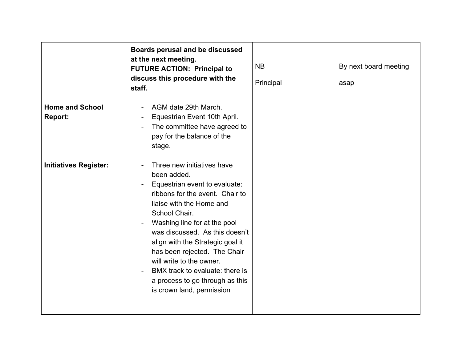|                                          | Boards perusal and be discussed<br>at the next meeting.<br><b>FUTURE ACTION: Principal to</b><br>discuss this procedure with the<br>staff.                                                                                                                                                                                                                                                                                      | <b>NB</b><br>Principal | By next board meeting<br>asap |
|------------------------------------------|---------------------------------------------------------------------------------------------------------------------------------------------------------------------------------------------------------------------------------------------------------------------------------------------------------------------------------------------------------------------------------------------------------------------------------|------------------------|-------------------------------|
| <b>Home and School</b><br><b>Report:</b> | AGM date 29th March.<br>Equestrian Event 10th April.<br>The committee have agreed to<br>pay for the balance of the<br>stage.                                                                                                                                                                                                                                                                                                    |                        |                               |
| <b>Initiatives Register:</b>             | Three new initiatives have<br>been added.<br>Equestrian event to evaluate:<br>ribbons for the event. Chair to<br>liaise with the Home and<br>School Chair.<br>Washing line for at the pool<br>was discussed. As this doesn't<br>align with the Strategic goal it<br>has been rejected. The Chair<br>will write to the owner.<br>BMX track to evaluate: there is<br>a process to go through as this<br>is crown land, permission |                        |                               |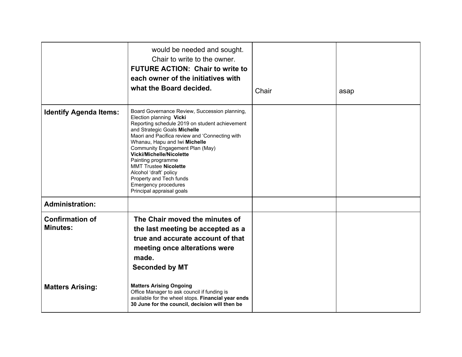|                                           | would be needed and sought.<br>Chair to write to the owner.<br><b>FUTURE ACTION: Chair to write to</b><br>each owner of the initiatives with<br>what the Board decided.                                                                                                                                                                                                                                                                                                             | Chair | asap |
|-------------------------------------------|-------------------------------------------------------------------------------------------------------------------------------------------------------------------------------------------------------------------------------------------------------------------------------------------------------------------------------------------------------------------------------------------------------------------------------------------------------------------------------------|-------|------|
| <b>Identify Agenda Items:</b>             | Board Governance Review, Succession planning,<br>Election planning Vicki<br>Reporting schedule 2019 on student achievement<br>and Strategic Goals Michelle<br>Maori and Pacifica review and 'Connecting with<br>Whanau, Hapu and Iwi Michelle<br>Community Engagement Plan (May)<br><b>Vicki/Michelle/Nicolette</b><br>Painting programme<br><b>MMT Trustee Nicolette</b><br>Alcohol 'draft' policy<br>Property and Tech funds<br>Emergency procedures<br>Principal appraisal goals |       |      |
| <b>Administration:</b>                    |                                                                                                                                                                                                                                                                                                                                                                                                                                                                                     |       |      |
| <b>Confirmation of</b><br><b>Minutes:</b> | The Chair moved the minutes of<br>the last meeting be accepted as a<br>true and accurate account of that<br>meeting once alterations were<br>made.<br><b>Seconded by MT</b>                                                                                                                                                                                                                                                                                                         |       |      |
| <b>Matters Arising:</b>                   | <b>Matters Arising Ongoing</b><br>Office Manager to ask council if funding is<br>available for the wheel stops. Financial year ends<br>30 June for the council, decision will then be                                                                                                                                                                                                                                                                                               |       |      |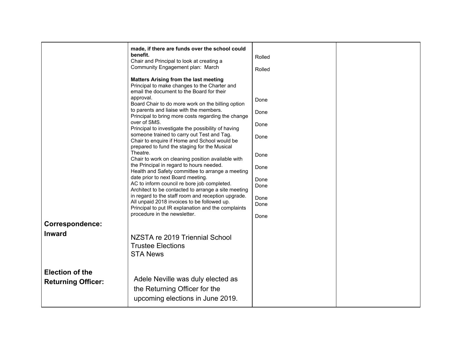| <b>Correspondence:</b>                              | made, if there are funds over the school could<br>benefit.<br>Chair and Principal to look at creating a<br>Community Engagement plan: March<br><b>Matters Arising from the last meeting</b><br>Principal to make changes to the Charter and<br>email the document to the Board for their<br>approval.<br>Board Chair to do more work on the billing option<br>to parents and liaise with the members.<br>Principal to bring more costs regarding the change<br>over of SMS.<br>Principal to investigate the possibility of having<br>someone trained to carry out Test and Tag.<br>Chair to enquire if Home and School would be<br>prepared to fund the staging for the Musical<br>Theatre.<br>Chair to work on cleaning position available with<br>the Principal in regard to hours needed.<br>Health and Safety committee to arrange a meeting<br>date prior to next Board meeting.<br>AC to inform council re bore job completed.<br>Architect to be contacted to arrange a site meeting<br>in regard to the staff room and reception upgrade.<br>All unpaid 2018 invoices to be followed up.<br>Principal to put IR explanation and the complaints<br>procedure in the newsletter. | Rolled<br>Rolled<br>Done<br>Done<br>Done<br>Done<br>Done<br>Done<br>Done<br>Done<br>Done<br>Done<br>Done |  |
|-----------------------------------------------------|----------------------------------------------------------------------------------------------------------------------------------------------------------------------------------------------------------------------------------------------------------------------------------------------------------------------------------------------------------------------------------------------------------------------------------------------------------------------------------------------------------------------------------------------------------------------------------------------------------------------------------------------------------------------------------------------------------------------------------------------------------------------------------------------------------------------------------------------------------------------------------------------------------------------------------------------------------------------------------------------------------------------------------------------------------------------------------------------------------------------------------------------------------------------------------------|----------------------------------------------------------------------------------------------------------|--|
| <b>Inward</b>                                       | NZSTA re 2019 Triennial School<br><b>Trustee Elections</b><br><b>STA News</b>                                                                                                                                                                                                                                                                                                                                                                                                                                                                                                                                                                                                                                                                                                                                                                                                                                                                                                                                                                                                                                                                                                          |                                                                                                          |  |
| <b>Election of the</b><br><b>Returning Officer:</b> | Adele Neville was duly elected as<br>the Returning Officer for the<br>upcoming elections in June 2019.                                                                                                                                                                                                                                                                                                                                                                                                                                                                                                                                                                                                                                                                                                                                                                                                                                                                                                                                                                                                                                                                                 |                                                                                                          |  |